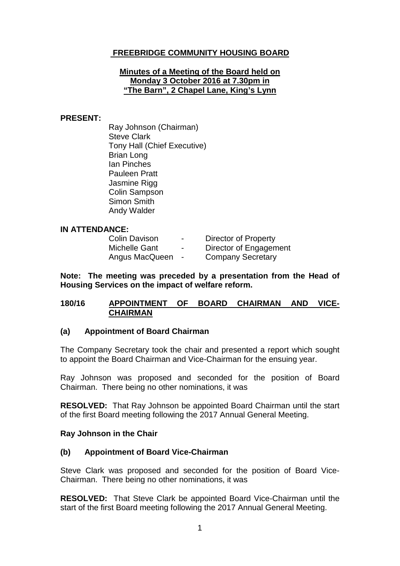# **FREEBRIDGE COMMUNITY HOUSING BOARD**

### **Minutes of a Meeting of the Board held on Monday 3 October 2016 at 7.30pm in "The Barn", 2 Chapel Lane, King's Lynn**

### **PRESENT:**

Ray Johnson (Chairman) Steve Clark Tony Hall (Chief Executive) Brian Long Ian Pinches Pauleen Pratt Jasmine Rigg Colin Sampson Simon Smith Andy Walder

#### **IN ATTENDANCE:**

| <b>Colin Davison</b> | $\blacksquare$ | Director of Property     |
|----------------------|----------------|--------------------------|
| Michelle Gant        | $\sim$         | Director of Engagement   |
| Angus MacQueen       | $\sim$         | <b>Company Secretary</b> |

**Note: The meeting was preceded by a presentation from the Head of Housing Services on the impact of welfare reform.**

### **180/16 APPOINTMENT OF BOARD CHAIRMAN AND VICE-CHAIRMAN**

#### **(a) Appointment of Board Chairman**

The Company Secretary took the chair and presented a report which sought to appoint the Board Chairman and Vice-Chairman for the ensuing year.

Ray Johnson was proposed and seconded for the position of Board Chairman. There being no other nominations, it was

**RESOLVED:** That Ray Johnson be appointed Board Chairman until the start of the first Board meeting following the 2017 Annual General Meeting.

#### **Ray Johnson in the Chair**

## **(b) Appointment of Board Vice-Chairman**

Steve Clark was proposed and seconded for the position of Board Vice-Chairman. There being no other nominations, it was

**RESOLVED:** That Steve Clark be appointed Board Vice-Chairman until the start of the first Board meeting following the 2017 Annual General Meeting.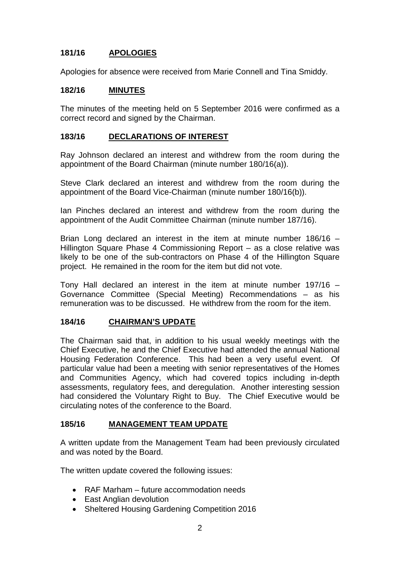# **181/16 APOLOGIES**

Apologies for absence were received from Marie Connell and Tina Smiddy.

### **182/16 MINUTES**

The minutes of the meeting held on 5 September 2016 were confirmed as a correct record and signed by the Chairman.

### **183/16 DECLARATIONS OF INTEREST**

Ray Johnson declared an interest and withdrew from the room during the appointment of the Board Chairman (minute number 180/16(a)).

Steve Clark declared an interest and withdrew from the room during the appointment of the Board Vice-Chairman (minute number 180/16(b)).

Ian Pinches declared an interest and withdrew from the room during the appointment of the Audit Committee Chairman (minute number 187/16).

Brian Long declared an interest in the item at minute number 186/16 – Hillington Square Phase 4 Commissioning Report – as a close relative was likely to be one of the sub-contractors on Phase 4 of the Hillington Square project. He remained in the room for the item but did not vote.

Tony Hall declared an interest in the item at minute number 197/16 – Governance Committee (Special Meeting) Recommendations – as his remuneration was to be discussed. He withdrew from the room for the item.

#### **184/16 CHAIRMAN'S UPDATE**

The Chairman said that, in addition to his usual weekly meetings with the Chief Executive, he and the Chief Executive had attended the annual National Housing Federation Conference. This had been a very useful event. Of particular value had been a meeting with senior representatives of the Homes and Communities Agency, which had covered topics including in-depth assessments, regulatory fees, and deregulation. Another interesting session had considered the Voluntary Right to Buy. The Chief Executive would be circulating notes of the conference to the Board.

### **185/16 MANAGEMENT TEAM UPDATE**

A written update from the Management Team had been previously circulated and was noted by the Board.

The written update covered the following issues:

- RAF Marham future accommodation needs
- East Anglian devolution
- Sheltered Housing Gardening Competition 2016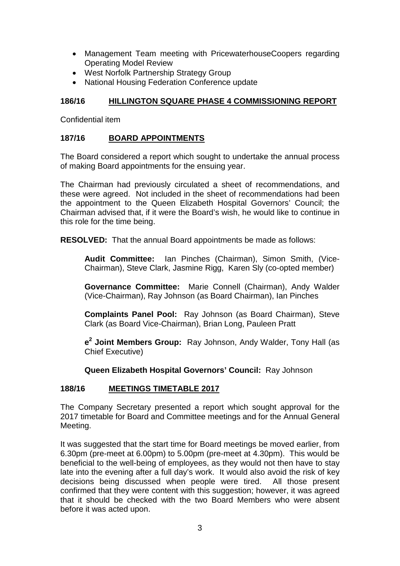- Management Team meeting with PricewaterhouseCoopers regarding Operating Model Review
- West Norfolk Partnership Strategy Group
- National Housing Federation Conference update

# **186/16 HILLINGTON SQUARE PHASE 4 COMMISSIONING REPORT**

Confidential item

# **187/16 BOARD APPOINTMENTS**

The Board considered a report which sought to undertake the annual process of making Board appointments for the ensuing year.

The Chairman had previously circulated a sheet of recommendations, and these were agreed. Not included in the sheet of recommendations had been the appointment to the Queen Elizabeth Hospital Governors' Council; the Chairman advised that, if it were the Board's wish, he would like to continue in this role for the time being.

**RESOLVED:** That the annual Board appointments be made as follows:

**Audit Committee:** Ian Pinches (Chairman), Simon Smith, (Vice-Chairman), Steve Clark, Jasmine Rigg, Karen Sly (co-opted member)

**Governance Committee:** Marie Connell (Chairman), Andy Walder (Vice-Chairman), Ray Johnson (as Board Chairman), Ian Pinches

**Complaints Panel Pool:** Ray Johnson (as Board Chairman), Steve Clark (as Board Vice-Chairman), Brian Long, Pauleen Pratt

**e<sup>2</sup> Joint Members Group:** Ray Johnson, Andy Walder, Tony Hall (as Chief Executive)

**Queen Elizabeth Hospital Governors' Council:** Ray Johnson

# **188/16 MEETINGS TIMETABLE 2017**

The Company Secretary presented a report which sought approval for the 2017 timetable for Board and Committee meetings and for the Annual General Meeting.

It was suggested that the start time for Board meetings be moved earlier, from 6.30pm (pre-meet at 6.00pm) to 5.00pm (pre-meet at 4.30pm). This would be beneficial to the well-being of employees, as they would not then have to stay late into the evening after a full day's work. It would also avoid the risk of key decisions being discussed when people were tired. All those present confirmed that they were content with this suggestion; however, it was agreed that it should be checked with the two Board Members who were absent before it was acted upon.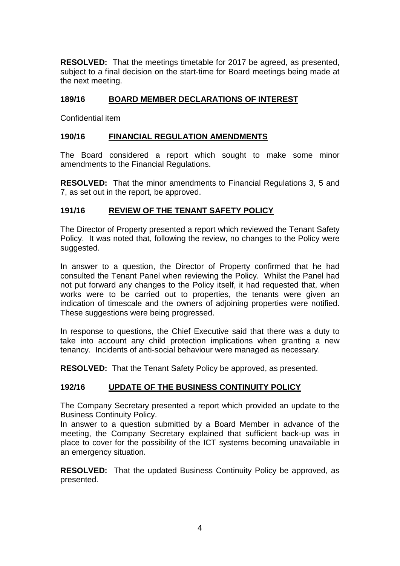**RESOLVED:** That the meetings timetable for 2017 be agreed, as presented, subject to a final decision on the start-time for Board meetings being made at the next meeting.

# **189/16 BOARD MEMBER DECLARATIONS OF INTEREST**

Confidential item

# **190/16 FINANCIAL REGULATION AMENDMENTS**

The Board considered a report which sought to make some minor amendments to the Financial Regulations.

**RESOLVED:** That the minor amendments to Financial Regulations 3, 5 and 7, as set out in the report, be approved.

# **191/16 REVIEW OF THE TENANT SAFETY POLICY**

The Director of Property presented a report which reviewed the Tenant Safety Policy. It was noted that, following the review, no changes to the Policy were suggested.

In answer to a question, the Director of Property confirmed that he had consulted the Tenant Panel when reviewing the Policy. Whilst the Panel had not put forward any changes to the Policy itself, it had requested that, when works were to be carried out to properties, the tenants were given an indication of timescale and the owners of adjoining properties were notified. These suggestions were being progressed.

In response to questions, the Chief Executive said that there was a duty to take into account any child protection implications when granting a new tenancy. Incidents of anti-social behaviour were managed as necessary.

**RESOLVED:** That the Tenant Safety Policy be approved, as presented.

# **192/16 UPDATE OF THE BUSINESS CONTINUITY POLICY**

The Company Secretary presented a report which provided an update to the Business Continuity Policy.

In answer to a question submitted by a Board Member in advance of the meeting, the Company Secretary explained that sufficient back-up was in place to cover for the possibility of the ICT systems becoming unavailable in an emergency situation.

**RESOLVED:** That the updated Business Continuity Policy be approved, as presented.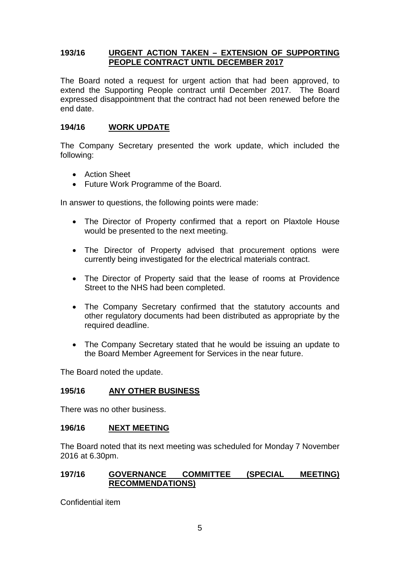## **193/16 URGENT ACTION TAKEN – EXTENSION OF SUPPORTING PEOPLE CONTRACT UNTIL DECEMBER 2017**

The Board noted a request for urgent action that had been approved, to extend the Supporting People contract until December 2017. The Board expressed disappointment that the contract had not been renewed before the end date.

## **194/16 WORK UPDATE**

The Company Secretary presented the work update, which included the following:

- Action Sheet
- Future Work Programme of the Board.

In answer to questions, the following points were made:

- The Director of Property confirmed that a report on Plaxtole House would be presented to the next meeting.
- The Director of Property advised that procurement options were currently being investigated for the electrical materials contract.
- The Director of Property said that the lease of rooms at Providence Street to the NHS had been completed.
- The Company Secretary confirmed that the statutory accounts and other regulatory documents had been distributed as appropriate by the required deadline.
- The Company Secretary stated that he would be issuing an update to the Board Member Agreement for Services in the near future.

The Board noted the update.

## **195/16 ANY OTHER BUSINESS**

There was no other business.

#### **196/16 NEXT MEETING**

The Board noted that its next meeting was scheduled for Monday 7 November 2016 at 6.30pm.

## **197/16 GOVERNANCE COMMITTEE (SPECIAL MEETING) RECOMMENDATIONS)**

Confidential item